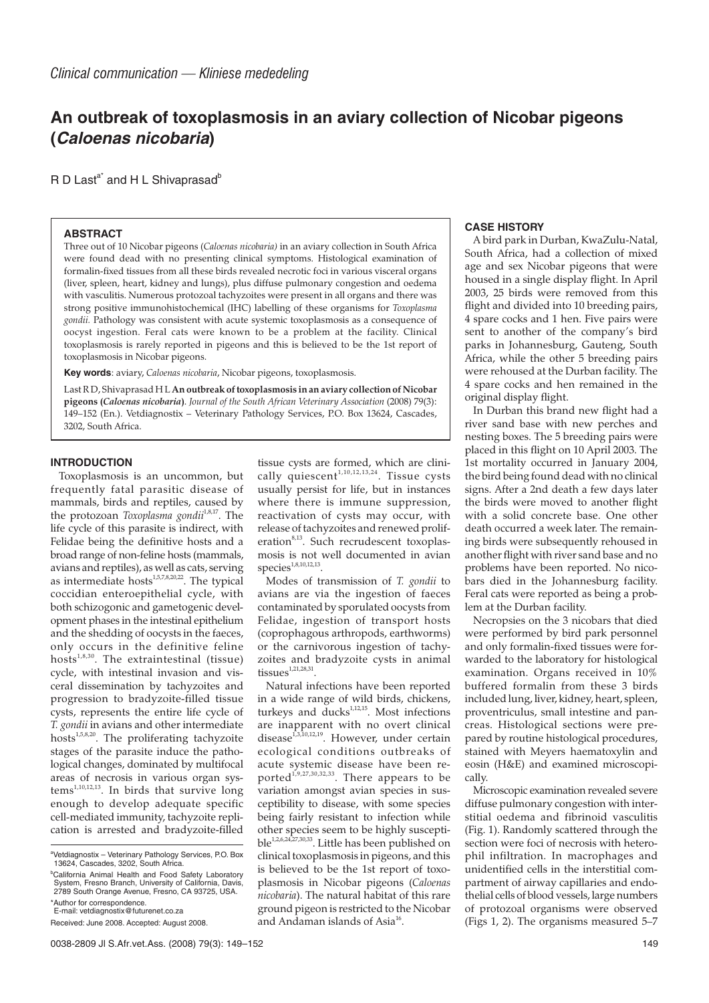# **An outbreak of toxoplasmosis in an aviary collection of Nicobar pigeons (Caloenas nicobaria)**

 $R$  D Last<sup>a\*</sup> and H L Shivaprasad<sup>b</sup>

### **ABSTRACT**

Three out of 10 Nicobar pigeons (*Caloenas nicobaria)* in an aviary collection in South Africa were found dead with no presenting clinical symptoms. Histological examination of formalin-fixed tissues from all these birds revealed necrotic foci in various visceral organs (liver, spleen, heart, kidney and lungs), plus diffuse pulmonary congestion and oedema with vasculitis. Numerous protozoal tachyzoites were present in all organs and there was strong positive immunohistochemical (IHC) labelling of these organisms for *Toxoplasma gondii.* Pathology was consistent with acute systemic toxoplasmosis as a consequence of oocyst ingestion. Feral cats were known to be a problem at the facility. Clinical toxoplasmosis is rarely reported in pigeons and this is believed to be the 1st report of toxoplasmosis in Nicobar pigeons.

**Key words**: aviary, *Caloenas nicobaria*, Nicobar pigeons, toxoplasmosis.

Last R D, Shivaprasad H L **An outbreak of toxoplasmosis in an aviary collection of Nicobar pigeons (***Caloenas nicobaria***)**. *Journal of the South African Veterinary Association* (2008) 79(3): 149–152 (En.). Vetdiagnostix – Veterinary Pathology Services, P.O. Box 13624, Cascades, 3202, South Africa.

## **INTRODUCTION**

Toxoplasmosis is an uncommon, but frequently fatal parasitic disease of mammals, birds and reptiles, caused by the protozoan *Toxoplasma gondii*<sup>1,8,17</sup>. The life cycle of this parasite is indirect, with Felidae being the definitive hosts and a broad range of non-feline hosts (mammals, avians and reptiles), as well as cats, serving as intermediate hosts<sup>1,5,7,8,20,22</sup>. The typical coccidian enteroepithelial cycle, with both schizogonic and gametogenic development phases in the intestinal epithelium and the shedding of oocysts in the faeces, only occurs in the definitive feline hosts $1,8,30$ . The extraintestinal (tissue) cycle, with intestinal invasion and visceral dissemination by tachyzoites and progression to bradyzoite-filled tissue cysts, represents the entire life cycle of *T. gondii* in avians and other intermediate hosts1,5,8,20. The proliferating tachyzoite stages of the parasite induce the pathological changes, dominated by multifocal areas of necrosis in various organ sys $tems^{1,10,12,13}$ . In birds that survive long enough to develop adequate specific cell-mediated immunity, tachyzoite replication is arrested and bradyzoite-filled

tissue cysts are formed, which are clinically quiescent<sup>1,10,12,13,24</sup>. Tissue cysts usually persist for life, but in instances where there is immune suppression, reactivation of cysts may occur, with release of tachyzoites and renewed proliferation<sup>8,13</sup>. Such recrudescent toxoplasmosis is not well documented in avian species<sup>1,8,10,12,13</sup>

Modes of transmission of *T. gondii* to avians are via the ingestion of faeces contaminated by sporulated oocysts from Felidae, ingestion of transport hosts (coprophagous arthropods, earthworms) or the carnivorous ingestion of tachyzoites and bradyzoite cysts in animal  $t$ issues<sup>1,21,28,31</sup>.

Natural infections have been reported in a wide range of wild birds, chickens, turkeys and ducks $^{1,12,15}$ . Most infections are inapparent with no overt clinical disease<sup>1,3,10,12,19</sup>. However, under certain ecological conditions outbreaks of acute systemic disease have been reported<sup>1,9,27,30,32,33</sup>. There appears to be variation amongst avian species in susceptibility to disease, with some species being fairly resistant to infection while other species seem to be highly susceptible<sup>1,2,6,24,27,30,33</sup>. Little has been published on clinical toxoplasmosis in pigeons, and this is believed to be the 1st report of toxoplasmosis in Nicobar pigeons (*Caloenas nicobaria*). The natural habitat of this rare ground pigeon is restricted to the Nicobar and Andaman islands of Asia<sup>16</sup>.

## **CASE HISTORY**

A bird park in Durban, KwaZulu-Natal, South Africa, had a collection of mixed age and sex Nicobar pigeons that were housed in a single display flight. In April 2003, 25 birds were removed from this flight and divided into 10 breeding pairs, 4 spare cocks and 1 hen. Five pairs were sent to another of the company's bird parks in Johannesburg, Gauteng, South Africa, while the other 5 breeding pairs were rehoused at the Durban facility. The 4 spare cocks and hen remained in the original display flight.

In Durban this brand new flight had a river sand base with new perches and nesting boxes. The 5 breeding pairs were placed in this flight on 10 April 2003. The 1st mortality occurred in January 2004, the bird being found dead with no clinical signs. After a 2nd death a few days later the birds were moved to another flight with a solid concrete base. One other death occurred a week later. The remaining birds were subsequently rehoused in another flight with river sand base and no problems have been reported. No nicobars died in the Johannesburg facility. Feral cats were reported as being a problem at the Durban facility.

Necropsies on the 3 nicobars that died were performed by bird park personnel and only formalin-fixed tissues were forwarded to the laboratory for histological examination. Organs received in 10% buffered formalin from these 3 birds included lung, liver, kidney, heart, spleen, proventriculus, small intestine and pancreas. Histological sections were prepared by routine histological procedures, stained with Meyers haematoxylin and eosin (H&E) and examined microscopically.

Microscopic examination revealed severe diffuse pulmonary congestion with interstitial oedema and fibrinoid vasculitis (Fig. 1). Randomly scattered through the section were foci of necrosis with heterophil infiltration. In macrophages and unidentified cells in the interstitial compartment of airway capillaries and endothelial cells of blood vessels, large numbers of protozoal organisms were observed (Figs 1, 2). The organisms measured 5–7

a Vetdiagnostix – Veterinary Pathology Services, P.O. Box 13624, Cascades, 3202, South Africa.

b California Animal Health and Food Safety Laboratory System, Fresno Branch, University of California, Davis, 2789 South Orange Avenue, Fresno, CA 93725, USA.

<sup>\*</sup>Author for correspondence. E-mail: vetdiagnostix@futurenet.co.za

Received: June 2008. Accepted: August 2008.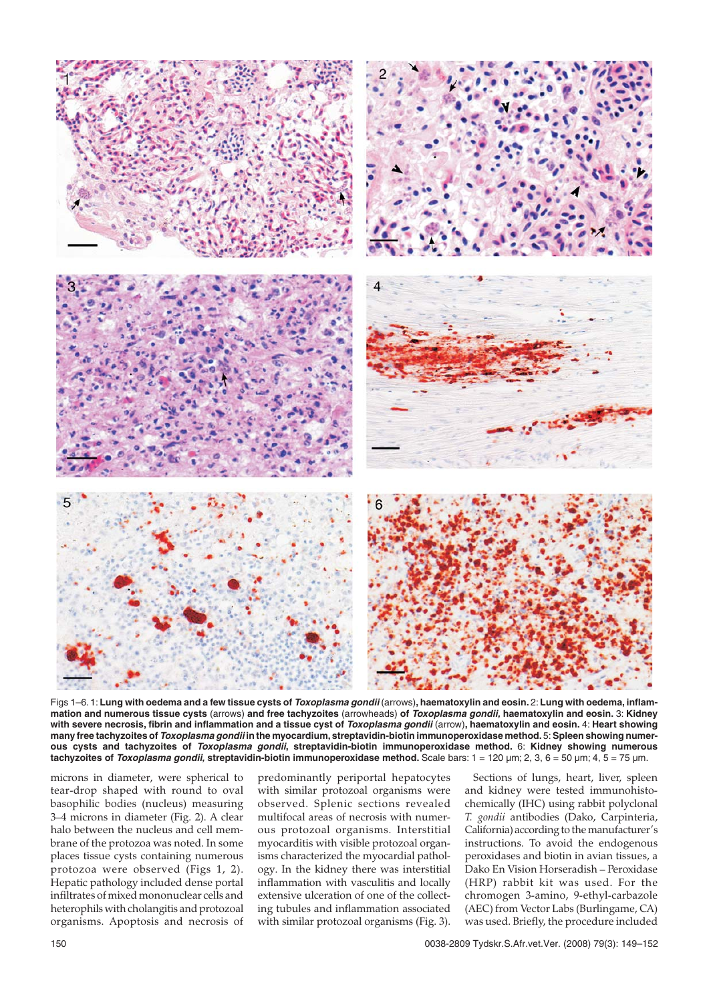

Figs 1–6, 1: Lung with oedema and a few tissue cysts of *Toxoplasma gondii* (arrows), haematoxylin and eosin, 2: Lung with oedema, inflam**mation and numerous tissue cysts** (arrows) **and free tachyzoites** (arrowheads) **of Toxoplasma gondii, haematoxylin and eosin.** 3: **Kidney with severe necrosis, fibrin and inflammation and a tissue cyst of Toxoplasma gondii** (arrow)**, haematoxylin and eosin.** 4: **Heart showing many free tachyzoites of Toxoplasma gondii in the myocardium,streptavidin-biotin immunoperoxidase method.**5: **Spleen showing numerous cysts and tachyzoites of Toxoplasma gondii, streptavidin-biotin immunoperoxidase method.** 6: **Kidney showing numerous tachyzoites of Toxoplasma gondii, streptavidin-biotin immunoperoxidase method.** Scale bars: 1 = 120 µm; 2, 3, 6 = 50 µm; 4, 5 = 75 µm.

microns in diameter, were spherical to tear-drop shaped with round to oval basophilic bodies (nucleus) measuring 3–4 microns in diameter (Fig. 2). A clear halo between the nucleus and cell membrane of the protozoa was noted. In some places tissue cysts containing numerous protozoa were observed (Figs 1, 2). Hepatic pathology included dense portal infiltrates of mixed mononuclear cells and heterophils with cholangitis and protozoal organisms. Apoptosis and necrosis of

predominantly periportal hepatocytes with similar protozoal organisms were observed. Splenic sections revealed multifocal areas of necrosis with numerous protozoal organisms. Interstitial myocarditis with visible protozoal organisms characterized the myocardial pathology. In the kidney there was interstitial inflammation with vasculitis and locally extensive ulceration of one of the collecting tubules and inflammation associated with similar protozoal organisms (Fig. 3).

Sections of lungs, heart, liver, spleen and kidney were tested immunohistochemically (IHC) using rabbit polyclonal *T. gondii* antibodies (Dako, Carpinteria, California) according to the manufacturer's instructions. To avoid the endogenous peroxidases and biotin in avian tissues, a Dako En Vision Horseradish – Peroxidase (HRP) rabbit kit was used. For the chromogen 3-amino, 9-ethyl-carbazole (AEC) from Vector Labs (Burlingame, CA) was used. Briefly, the procedure included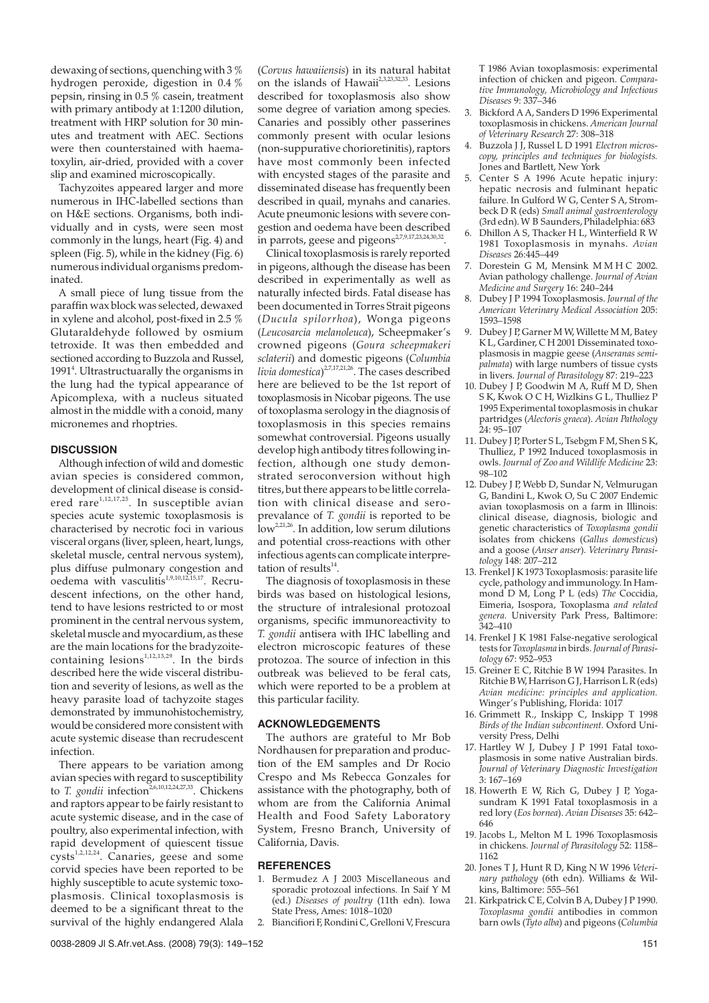dewaxing of sections, quenching with 3 % hydrogen peroxide, digestion in 0.4 % pepsin, rinsing in 0.5 % casein, treatment with primary antibody at 1:1200 dilution, treatment with HRP solution for 30 minutes and treatment with AEC. Sections were then counterstained with haematoxylin, air-dried, provided with a cover slip and examined microscopically.

Tachyzoites appeared larger and more numerous in IHC-labelled sections than on H&E sections. Organisms, both individually and in cysts, were seen most commonly in the lungs, heart (Fig. 4) and spleen (Fig. 5), while in the kidney (Fig. 6) numerous individual organisms predominated.

A small piece of lung tissue from the paraffin wax block was selected, dewaxed in xylene and alcohol, post-fixed in 2.5 % Glutaraldehyde followed by osmium tetroxide. It was then embedded and sectioned according to Buzzola and Russel, 1991<sup>4</sup>. Ultrastructuarally the organisms in the lung had the typical appearance of Apicomplexa, with a nucleus situated almost in the middle with a conoid, many micronemes and rhoptries.

#### **DISCUSSION**

Although infection of wild and domestic avian species is considered common, development of clinical disease is considered rare $1,12,17,25$ . In susceptible avian species acute systemic toxoplasmosis is characterised by necrotic foci in various visceral organs (liver, spleen, heart, lungs, skeletal muscle, central nervous system), plus diffuse pulmonary congestion and oedema with vasculitis<sup>1,9,10,12,15,17</sup>. Recrudescent infections, on the other hand, tend to have lesions restricted to or most prominent in the central nervous system, skeletal muscle and myocardium, as these are the main locations for the bradyzoitecontaining lesions $^{1,12,13,29}$ . In the birds described here the wide visceral distribution and severity of lesions, as well as the heavy parasite load of tachyzoite stages demonstrated by immunohistochemistry, would be considered more consistent with acute systemic disease than recrudescent infection.

There appears to be variation among avian species with regard to susceptibility to *T. gondii* infection<sup>2,6,10,12,24,27,33</sup>. Chickens and raptors appear to be fairly resistant to acute systemic disease, and in the case of poultry, also experimental infection, with rapid development of quiescent tissue  $\frac{1}{\text{cysts}^{1,2,12,24}}$ . Canaries, geese and some corvid species have been reported to be highly susceptible to acute systemic toxoplasmosis. Clinical toxoplasmosis is deemed to be a significant threat to the survival of the highly endangered Alala

(*Corvus hawaiiensis*) in its natural habitat on the islands of Hawaii<sup>2,3,23,32,33</sup>. Lesions described for toxoplasmosis also show some degree of variation among species. Canaries and possibly other passerines commonly present with ocular lesions (non-suppurative chorioretinitis), raptors have most commonly been infected with encysted stages of the parasite and disseminated disease has frequently been described in quail, mynahs and canaries. Acute pneumonic lesions with severe congestion and oedema have been described in parrots, geese and pigeons<sup>2,7,9,17,23,24,30,32</sup>.

Clinical toxoplasmosis is rarely reported in pigeons, although the disease has been described in experimentally as well as naturally infected birds. Fatal disease has been documented in Torres Strait pigeons (*Ducula spilorrhoa*), Wonga pigeons (*Leucosarcia melanoleuca*), Scheepmaker's crowned pigeons (*Goura scheepmakeri sclaterii*) and domestic pigeons (*Columbia livia domestica*) 2,7,17,21,26. The cases described here are believed to be the 1st report of toxoplasmosis in Nicobar pigeons. The use of toxoplasma serology in the diagnosis of toxoplasmosis in this species remains somewhat controversial. Pigeons usually develop high antibody titres following infection, although one study demonstrated seroconversion without high titres, but there appears to be little correlation with clinical disease and seroprevalance of *T. gondii* is reported to be  $\int$ low<sup>2,21,26</sup>. In addition, low serum dilutions and potential cross-reactions with other infectious agents can complicate interpretation of results $^{14}$ .

The diagnosis of toxoplasmosis in these birds was based on histological lesions, the structure of intralesional protozoal organisms, specific immunoreactivity to *T. gondii* antisera with IHC labelling and electron microscopic features of these protozoa. The source of infection in this outbreak was believed to be feral cats, which were reported to be a problem at this particular facility.

### **ACKNOWLEDGEMENTS**

The authors are grateful to Mr Bob Nordhausen for preparation and production of the EM samples and Dr Rocio Crespo and Ms Rebecca Gonzales for assistance with the photography, both of whom are from the California Animal Health and Food Safety Laboratory System, Fresno Branch, University of California, Davis.

#### **REFERENCES**

- 1. Bermudez A J 2003 Miscellaneous and sporadic protozoal infections. In Saif Y M (ed.) *Diseases of poultry* (11th edn). Iowa State Press, Ames: 1018–1020
- 2. Biancifiori F, Rondini C, Grelloni V, Frescura

T 1986 Avian toxoplasmosis: experimental infection of chicken and pigeon. *Comparative Immunology, Microbiology and Infectious Diseases* 9: 337–346

- 3. Bickford A A, Sanders D 1996 Experimental toxoplasmosis in chickens. *American Journal of Veterinary Research* 27: 308–318
- 4. Buzzola J J, Russel L D 1991 *Electron microscopy, principles and techniques for biologists.* Jones and Bartlett, New York
- 5. Center S A 1996 Acute hepatic injury: hepatic necrosis and fulminant hepatic failure. In Gulford W G, Center S A, Strombeck D R (eds) *Small animal gastroenterology*  $(3rd edn)$ . W B Saunders, Philadelphia:  $683$
- 6. Dhillon A S, Thacker H L, Winterfield R W 1981 Toxoplasmosis in mynahs. *Avian Diseases* 26:445–449
- 7. Dorestein G M, Mensink M M H C 2002. Avian pathology challenge. *Journal of Avian Medicine and Surgery* 16: 240–244
- 8. Dubey J P 1994 Toxoplasmosis. *Journal of the American Veterinary Medical Association* 205: 1593–1598
- 9. Dubey J P, Garner M W, Willette M M, Batey K L, Gardiner, C H 2001 Disseminated toxoplasmosis in magpie geese (*Anseranas semipalmata*) with large numbers of tissue cysts in livers. *Journal of Parasitology* 87: 219–223
- 10. Dubey J P, Goodwin M A, Ruff M D, Shen S K, Kwok O C H, Wizlkins G L, Thulliez P 1995 Experimental toxoplasmosis in chukar partridges (*Alectoris graeca*). *Avian Pathology*  $24.95 - 107$
- 11. Dubey J P, Porter S L, Tsebgm F M, Shen S K, Thulliez, P 1992 Induced toxoplasmosis in owls. *Journal of Zoo and Wildlife Medicine* 23: 98–102
- 12. Dubey J P, Webb D, Sundar N, Velmurugan G, Bandini L, Kwok O, Su C 2007 Endemic avian toxoplasmosis on a farm in Illinois: clinical disease, diagnosis, biologic and genetic characteristics of *Toxoplasma gondii* isolates from chickens (*Gallus domesticus*) and a goose (*Anser anser*). *Veterinary Parasitology* 148: 207–212
- 13. Frenkel J K 1973 Toxoplasmosis: parasite life cycle, pathology and immunology. In Hammond D M, Long P L (eds) *The* Coccidia, Eimeria, Isospora, Toxoplasma *and related genera.* University Park Press, Baltimore: 342–410
- 14. Frenkel J K 1981 False-negative serological tests for *Toxoplasma* in birds.*Journal of Parasitology* 67: 952–953
- 15. Greiner E C, Ritchie B W 1994 Parasites. In Ritchie B W, Harrison G J, Harrison L R (eds) *Avian medicine: principles and application.* Winger's Publishing, Florida: 1017
- 16. Grimmett R., Inskipp C, Inskipp T 1998 *Birds of the Indian subcontinent.* Oxford University Press, Delhi
- 17. Hartley W J, Dubey J P 1991 Fatal toxoplasmosis in some native Australian birds. *Journal of Veterinary Diagnostic Investigation* 3: 167–169
- 18. Howerth E W, Rich G, Dubey J P, Yogasundram K 1991 Fatal toxoplasmosis in a red lory (*Eos bornea*). *Avian Diseases* 35: 642– 646
- 19. Jacobs L, Melton M L 1996 Toxoplasmosis in chickens. *Journal of Parasitology* 52: 1158– 1162
- 20. Jones T J, Hunt R D, King N W 1996 *Veterinary pathology* (6th edn). Williams & Wilkins, Baltimore: 555–561
- 21. Kirkpatrick C E, Colvin B A, Dubey J P 1990. *Toxoplasma gondii* antibodies in common barn owls (*Tyto alba*) and pigeons (*Columbia*